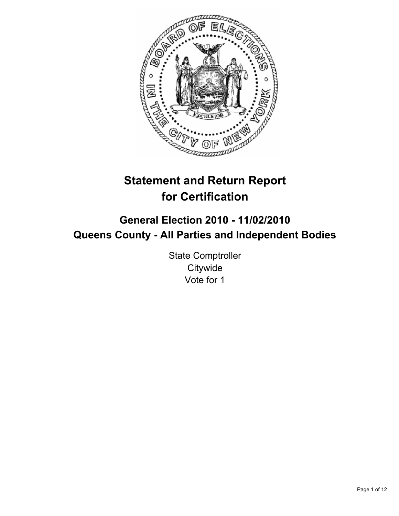

# **Statement and Return Report for Certification**

## **General Election 2010 - 11/02/2010 Queens County - All Parties and Independent Bodies**

State Comptroller **Citywide** Vote for 1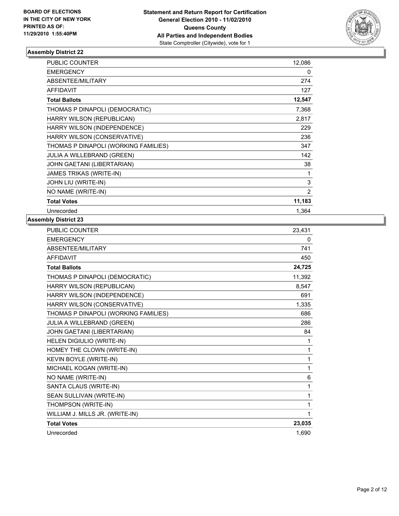

| <b>PUBLIC COUNTER</b>                | 12,086 |
|--------------------------------------|--------|
| <b>EMERGENCY</b>                     | 0      |
| ABSENTEE/MILITARY                    | 274    |
| <b>AFFIDAVIT</b>                     | 127    |
| <b>Total Ballots</b>                 | 12,547 |
| THOMAS P DINAPOLI (DEMOCRATIC)       | 7,368  |
| HARRY WILSON (REPUBLICAN)            | 2,817  |
| HARRY WILSON (INDEPENDENCE)          | 229    |
| HARRY WILSON (CONSERVATIVE)          | 236    |
| THOMAS P DINAPOLI (WORKING FAMILIES) | 347    |
| JULIA A WILLEBRAND (GREEN)           | 142    |
| JOHN GAETANI (LIBERTARIAN)           | 38     |
| JAMES TRIKAS (WRITE-IN)              | 1      |
| JOHN LIU (WRITE-IN)                  | 3      |
| NO NAME (WRITE-IN)                   | 2      |
| <b>Total Votes</b>                   | 11,183 |
| Unrecorded                           | 1,364  |

| <b>PUBLIC COUNTER</b>                | 23,431 |
|--------------------------------------|--------|
| <b>EMERGENCY</b>                     | 0      |
| ABSENTEE/MILITARY                    | 741    |
| <b>AFFIDAVIT</b>                     | 450    |
| <b>Total Ballots</b>                 | 24,725 |
| THOMAS P DINAPOLI (DEMOCRATIC)       | 11,392 |
| HARRY WILSON (REPUBLICAN)            | 8,547  |
| HARRY WILSON (INDEPENDENCE)          | 691    |
| HARRY WILSON (CONSERVATIVE)          | 1,335  |
| THOMAS P DINAPOLI (WORKING FAMILIES) | 686    |
| JULIA A WILLEBRAND (GREEN)           | 286    |
| JOHN GAETANI (LIBERTARIAN)           | 84     |
| HELEN DIGIULIO (WRITE-IN)            | 1      |
| HOMEY THE CLOWN (WRITE-IN)           | 1      |
| KEVIN BOYLE (WRITE-IN)               | 1      |
| MICHAEL KOGAN (WRITE-IN)             | 1      |
| NO NAME (WRITE-IN)                   | 6      |
| SANTA CLAUS (WRITE-IN)               | 1      |
| SEAN SULLIVAN (WRITE-IN)             | 1      |
| THOMPSON (WRITE-IN)                  | 1      |
| WILLIAM J. MILLS JR. (WRITE-IN)      | 1      |
| <b>Total Votes</b>                   | 23,035 |
| Unrecorded                           | 1.690  |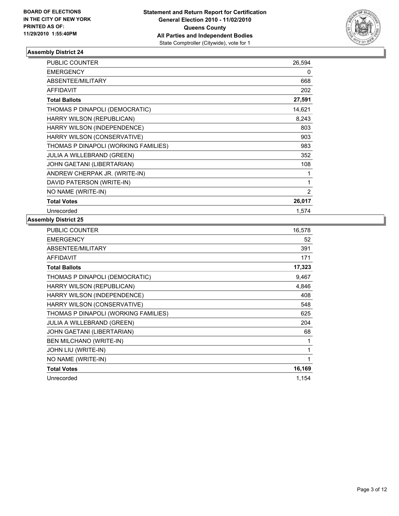

| <b>PUBLIC COUNTER</b>                | 26,594 |
|--------------------------------------|--------|
| <b>EMERGENCY</b>                     | 0      |
| ABSENTEE/MILITARY                    | 668    |
| <b>AFFIDAVIT</b>                     | 202    |
| <b>Total Ballots</b>                 | 27,591 |
| THOMAS P DINAPOLI (DEMOCRATIC)       | 14,621 |
| HARRY WILSON (REPUBLICAN)            | 8,243  |
| HARRY WILSON (INDEPENDENCE)          | 803    |
| HARRY WILSON (CONSERVATIVE)          | 903    |
| THOMAS P DINAPOLI (WORKING FAMILIES) | 983    |
| JULIA A WILLEBRAND (GREEN)           | 352    |
| JOHN GAETANI (LIBERTARIAN)           | 108    |
| ANDREW CHERPAK JR. (WRITE-IN)        | 1      |
| DAVID PATERSON (WRITE-IN)            | 1      |
| NO NAME (WRITE-IN)                   | 2      |
| <b>Total Votes</b>                   | 26,017 |
| Unrecorded                           | 1,574  |

| <b>PUBLIC COUNTER</b>                | 16,578 |
|--------------------------------------|--------|
| <b>EMERGENCY</b>                     | 52     |
| ABSENTEE/MILITARY                    | 391    |
| <b>AFFIDAVIT</b>                     | 171    |
| <b>Total Ballots</b>                 | 17,323 |
| THOMAS P DINAPOLI (DEMOCRATIC)       | 9,467  |
| HARRY WILSON (REPUBLICAN)            | 4,846  |
| HARRY WILSON (INDEPENDENCE)          | 408    |
| HARRY WILSON (CONSERVATIVE)          | 548    |
| THOMAS P DINAPOLI (WORKING FAMILIES) | 625    |
| <b>JULIA A WILLEBRAND (GREEN)</b>    | 204    |
| JOHN GAETANI (LIBERTARIAN)           | 68     |
| <b>BEN MILCHANO (WRITE-IN)</b>       | 1      |
| JOHN LIU (WRITE-IN)                  | 1      |
| NO NAME (WRITE-IN)                   | 1      |
| <b>Total Votes</b>                   | 16,169 |
| Unrecorded                           | 1,154  |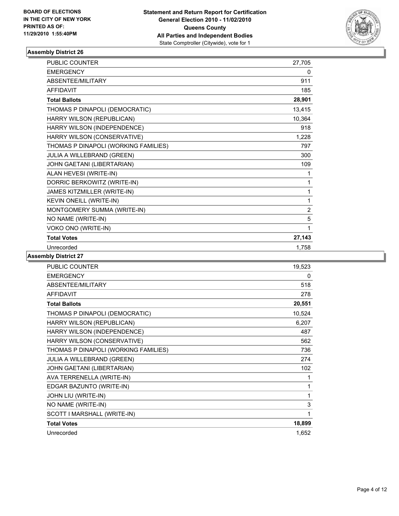

| PUBLIC COUNTER                       | 27,705         |
|--------------------------------------|----------------|
| <b>EMERGENCY</b>                     | 0              |
| ABSENTEE/MILITARY                    | 911            |
| <b>AFFIDAVIT</b>                     | 185            |
| <b>Total Ballots</b>                 | 28,901         |
| THOMAS P DINAPOLI (DEMOCRATIC)       | 13,415         |
| HARRY WILSON (REPUBLICAN)            | 10,364         |
| HARRY WILSON (INDEPENDENCE)          | 918            |
| HARRY WILSON (CONSERVATIVE)          | 1,228          |
| THOMAS P DINAPOLI (WORKING FAMILIES) | 797            |
| JULIA A WILLEBRAND (GREEN)           | 300            |
| JOHN GAETANI (LIBERTARIAN)           | 109            |
| ALAN HEVESI (WRITE-IN)               | 1              |
| DORRIC BERKOWITZ (WRITE-IN)          | 1              |
| JAMES KITZMILLER (WRITE-IN)          | 1              |
| KEVIN ONEILL (WRITE-IN)              | 1              |
| MONTGOMERY SUMMA (WRITE-IN)          | $\overline{2}$ |
| NO NAME (WRITE-IN)                   | 5              |
| VOKO ONO (WRITE-IN)                  | 1              |
| <b>Total Votes</b>                   | 27,143         |
| Unrecorded                           | 1,758          |

| <b>PUBLIC COUNTER</b>                | 19,523 |
|--------------------------------------|--------|
| <b>EMERGENCY</b>                     | 0      |
| ABSENTEE/MILITARY                    | 518    |
| <b>AFFIDAVIT</b>                     | 278    |
| <b>Total Ballots</b>                 | 20,551 |
| THOMAS P DINAPOLI (DEMOCRATIC)       | 10,524 |
| HARRY WILSON (REPUBLICAN)            | 6,207  |
| HARRY WILSON (INDEPENDENCE)          | 487    |
| HARRY WILSON (CONSERVATIVE)          | 562    |
| THOMAS P DINAPOLI (WORKING FAMILIES) | 736    |
| JULIA A WILLEBRAND (GREEN)           | 274    |
| JOHN GAETANI (LIBERTARIAN)           | 102    |
| AVA TERRENELLA (WRITE-IN)            | 1      |
| EDGAR BAZUNTO (WRITE-IN)             | 1      |
| JOHN LIU (WRITE-IN)                  | 1      |
| NO NAME (WRITE-IN)                   | 3      |
| SCOTT I MARSHALL (WRITE-IN)          | 1      |
| <b>Total Votes</b>                   | 18,899 |
| Unrecorded                           | 1.652  |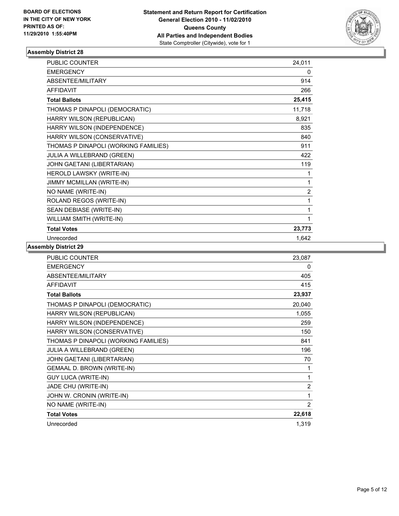

| <b>PUBLIC COUNTER</b>                | 24,011         |
|--------------------------------------|----------------|
| <b>EMERGENCY</b>                     | 0              |
| <b>ABSENTEE/MILITARY</b>             | 914            |
| <b>AFFIDAVIT</b>                     | 266            |
| <b>Total Ballots</b>                 | 25,415         |
| THOMAS P DINAPOLI (DEMOCRATIC)       | 11,718         |
| HARRY WILSON (REPUBLICAN)            | 8,921          |
| HARRY WILSON (INDEPENDENCE)          | 835            |
| HARRY WILSON (CONSERVATIVE)          | 840            |
| THOMAS P DINAPOLI (WORKING FAMILIES) | 911            |
| JULIA A WILLEBRAND (GREEN)           | 422            |
| JOHN GAETANI (LIBERTARIAN)           | 119            |
| HEROLD LAWSKY (WRITE-IN)             | 1              |
| JIMMY MCMILLAN (WRITE-IN)            | 1              |
| NO NAME (WRITE-IN)                   | $\overline{2}$ |
| ROLAND REGOS (WRITE-IN)              | 1              |
| SEAN DEBIASE (WRITE-IN)              | 1              |
| WILLIAM SMITH (WRITE-IN)             | 1              |
| <b>Total Votes</b>                   | 23,773         |
| Unrecorded                           | 1,642          |

| <b>PUBLIC COUNTER</b>                | 23,087         |
|--------------------------------------|----------------|
| <b>EMERGENCY</b>                     | 0              |
| ABSENTEE/MILITARY                    | 405            |
| <b>AFFIDAVIT</b>                     | 415            |
| <b>Total Ballots</b>                 | 23,937         |
| THOMAS P DINAPOLI (DEMOCRATIC)       | 20,040         |
| HARRY WILSON (REPUBLICAN)            | 1,055          |
| HARRY WILSON (INDEPENDENCE)          | 259            |
| HARRY WILSON (CONSERVATIVE)          | 150            |
| THOMAS P DINAPOLI (WORKING FAMILIES) | 841            |
| <b>JULIA A WILLEBRAND (GREEN)</b>    | 196            |
| JOHN GAETANI (LIBERTARIAN)           | 70             |
| GEMAAL D. BROWN (WRITE-IN)           | 1              |
| <b>GUY LUCA (WRITE-IN)</b>           | 1              |
| JADE CHU (WRITE-IN)                  | $\overline{2}$ |
| JOHN W. CRONIN (WRITE-IN)            | 1              |
| NO NAME (WRITE-IN)                   | $\overline{2}$ |
| <b>Total Votes</b>                   | 22,618         |
| Unrecorded                           | 1,319          |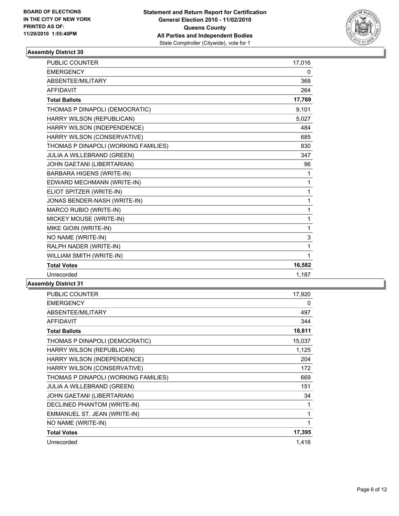

| <b>PUBLIC COUNTER</b>                | 17,016       |
|--------------------------------------|--------------|
| <b>EMERGENCY</b>                     | 0            |
| ABSENTEE/MILITARY                    | 368          |
| <b>AFFIDAVIT</b>                     | 264          |
| <b>Total Ballots</b>                 | 17,769       |
| THOMAS P DINAPOLI (DEMOCRATIC)       | 9,101        |
| HARRY WILSON (REPUBLICAN)            | 5,027        |
| HARRY WILSON (INDEPENDENCE)          | 484          |
| HARRY WILSON (CONSERVATIVE)          | 685          |
| THOMAS P DINAPOLI (WORKING FAMILIES) | 830          |
| JULIA A WILLEBRAND (GREEN)           | 347          |
| JOHN GAETANI (LIBERTARIAN)           | 96           |
| BARBARA HIGENS (WRITE-IN)            | 1            |
| EDWARD MECHMANN (WRITE-IN)           | 1            |
| ELIOT SPITZER (WRITE-IN)             | $\mathbf{1}$ |
| JONAS BENDER-NASH (WRITE-IN)         | $\mathbf{1}$ |
| MARCO RUBIO (WRITE-IN)               | $\mathbf{1}$ |
| MICKEY MOUSE (WRITE-IN)              | $\mathbf{1}$ |
| MIKE GIOIN (WRITE-IN)                | $\mathbf{1}$ |
| NO NAME (WRITE-IN)                   | 3            |
| RALPH NADER (WRITE-IN)               | 1            |
| WILLIAM SMITH (WRITE-IN)             | 1            |
| <b>Total Votes</b>                   | 16,582       |
| Unrecorded                           | 1,187        |
|                                      |              |

| PUBLIC COUNTER                       | 17,920 |
|--------------------------------------|--------|
| <b>EMERGENCY</b>                     | 0      |
| ABSENTEE/MILITARY                    | 497    |
| <b>AFFIDAVIT</b>                     | 344    |
| <b>Total Ballots</b>                 | 18,811 |
| THOMAS P DINAPOLI (DEMOCRATIC)       | 15,037 |
| HARRY WILSON (REPUBLICAN)            | 1,125  |
| HARRY WILSON (INDEPENDENCE)          | 204    |
| HARRY WILSON (CONSERVATIVE)          | 172    |
| THOMAS P DINAPOLI (WORKING FAMILIES) | 669    |
| <b>JULIA A WILLEBRAND (GREEN)</b>    | 151    |
| JOHN GAETANI (LIBERTARIAN)           | 34     |
| DECLINED PHANTOM (WRITE-IN)          | 1      |
| EMMANUEL ST. JEAN (WRITE-IN)         | 1      |
| NO NAME (WRITE-IN)                   | 1      |
| <b>Total Votes</b>                   | 17,395 |
| Unrecorded                           | 1,416  |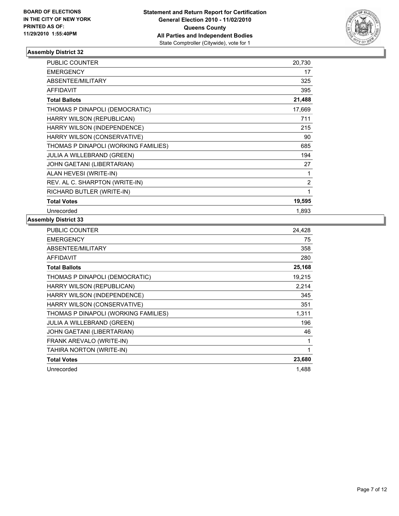

| <b>PUBLIC COUNTER</b>                | 20,730         |
|--------------------------------------|----------------|
| <b>EMERGENCY</b>                     | 17             |
| ABSENTEE/MILITARY                    | 325            |
| <b>AFFIDAVIT</b>                     | 395            |
| <b>Total Ballots</b>                 | 21,488         |
| THOMAS P DINAPOLI (DEMOCRATIC)       | 17,669         |
| HARRY WILSON (REPUBLICAN)            | 711            |
| HARRY WILSON (INDEPENDENCE)          | 215            |
| HARRY WILSON (CONSERVATIVE)          | 90             |
| THOMAS P DINAPOLI (WORKING FAMILIES) | 685            |
| <b>JULIA A WILLEBRAND (GREEN)</b>    | 194            |
| <b>JOHN GAETANI (LIBERTARIAN)</b>    | 27             |
| ALAN HEVESI (WRITE-IN)               | 1              |
| REV. AL C. SHARPTON (WRITE-IN)       | $\overline{2}$ |
| RICHARD BUTLER (WRITE-IN)            | 1              |
| <b>Total Votes</b>                   | 19,595         |
| Unrecorded                           | 1,893          |

| PUBLIC COUNTER                       | 24.428 |
|--------------------------------------|--------|
| <b>EMERGENCY</b>                     | 75     |
| ABSENTEE/MILITARY                    | 358    |
| <b>AFFIDAVIT</b>                     | 280    |
| <b>Total Ballots</b>                 | 25,168 |
| THOMAS P DINAPOLI (DEMOCRATIC)       | 19,215 |
| HARRY WILSON (REPUBLICAN)            | 2,214  |
| HARRY WILSON (INDEPENDENCE)          | 345    |
| HARRY WILSON (CONSERVATIVE)          | 351    |
| THOMAS P DINAPOLI (WORKING FAMILIES) | 1,311  |
| <b>JULIA A WILLEBRAND (GREEN)</b>    | 196    |
| <b>JOHN GAETANI (LIBERTARIAN)</b>    | 46     |
| FRANK AREVALO (WRITE-IN)             | 1      |
| TAHIRA NORTON (WRITE-IN)             | 1      |
| <b>Total Votes</b>                   | 23,680 |
| Unrecorded                           | 1,488  |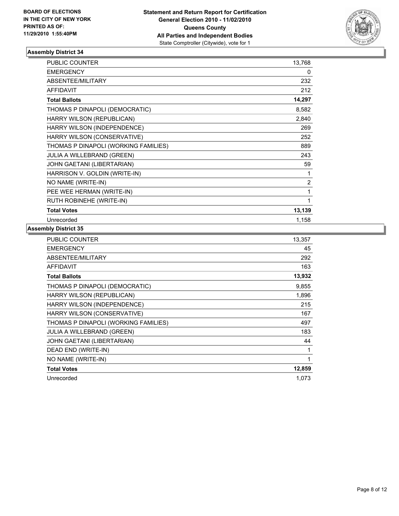

| <b>PUBLIC COUNTER</b>                | 13,768         |
|--------------------------------------|----------------|
| <b>EMERGENCY</b>                     | 0              |
| ABSENTEE/MILITARY                    | 232            |
| <b>AFFIDAVIT</b>                     | 212            |
| <b>Total Ballots</b>                 | 14,297         |
| THOMAS P DINAPOLI (DEMOCRATIC)       | 8,582          |
| HARRY WILSON (REPUBLICAN)            | 2,840          |
| HARRY WILSON (INDEPENDENCE)          | 269            |
| HARRY WILSON (CONSERVATIVE)          | 252            |
| THOMAS P DINAPOLI (WORKING FAMILIES) | 889            |
| JULIA A WILLEBRAND (GREEN)           | 243            |
| JOHN GAETANI (LIBERTARIAN)           | 59             |
| HARRISON V. GOLDIN (WRITE-IN)        | 1              |
| NO NAME (WRITE-IN)                   | $\overline{2}$ |
| PEE WEE HERMAN (WRITE-IN)            | 1              |
| RUTH ROBINEHE (WRITE-IN)             | 1              |
| <b>Total Votes</b>                   | 13,139         |
| Unrecorded                           | 1,158          |

| <b>PUBLIC COUNTER</b>                | 13,357 |
|--------------------------------------|--------|
| <b>EMERGENCY</b>                     | 45     |
| ABSENTEE/MILITARY                    | 292    |
| <b>AFFIDAVIT</b>                     | 163    |
| <b>Total Ballots</b>                 | 13,932 |
| THOMAS P DINAPOLI (DEMOCRATIC)       | 9,855  |
| <b>HARRY WILSON (REPUBLICAN)</b>     | 1,896  |
| HARRY WILSON (INDEPENDENCE)          | 215    |
| HARRY WILSON (CONSERVATIVE)          | 167    |
| THOMAS P DINAPOLI (WORKING FAMILIES) | 497    |
| JULIA A WILLEBRAND (GREEN)           | 183    |
| <b>JOHN GAETANI (LIBERTARIAN)</b>    | 44     |
| DEAD END (WRITE-IN)                  | 1      |
| NO NAME (WRITE-IN)                   | 1      |
| <b>Total Votes</b>                   | 12,859 |
| Unrecorded                           | 1,073  |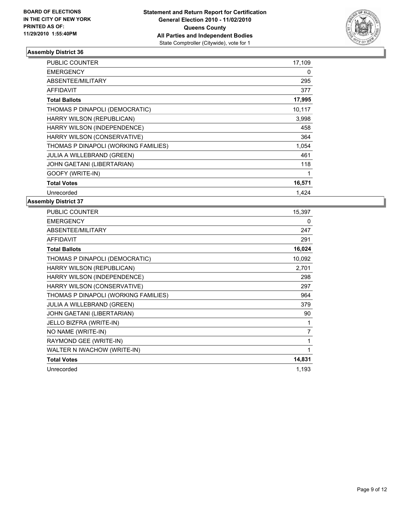

| <b>PUBLIC COUNTER</b>                | 17,109 |
|--------------------------------------|--------|
| <b>EMERGENCY</b>                     | 0      |
| ABSENTEE/MILITARY                    | 295    |
| <b>AFFIDAVIT</b>                     | 377    |
| <b>Total Ballots</b>                 | 17,995 |
| THOMAS P DINAPOLI (DEMOCRATIC)       | 10,117 |
| HARRY WILSON (REPUBLICAN)            | 3,998  |
| HARRY WILSON (INDEPENDENCE)          | 458    |
| HARRY WILSON (CONSERVATIVE)          | 364    |
| THOMAS P DINAPOLI (WORKING FAMILIES) | 1,054  |
| <b>JULIA A WILLEBRAND (GREEN)</b>    | 461    |
| JOHN GAETANI (LIBERTARIAN)           | 118    |
| GOOFY (WRITE-IN)                     | 1      |
| <b>Total Votes</b>                   | 16,571 |
| Unrecorded                           | 1.424  |

| PUBLIC COUNTER                       | 15,397 |
|--------------------------------------|--------|
| <b>EMERGENCY</b>                     | 0      |
| <b>ABSENTEE/MILITARY</b>             | 247    |
| <b>AFFIDAVIT</b>                     | 291    |
| <b>Total Ballots</b>                 | 16,024 |
| THOMAS P DINAPOLI (DEMOCRATIC)       | 10,092 |
| HARRY WILSON (REPUBLICAN)            | 2,701  |
| HARRY WILSON (INDEPENDENCE)          | 298    |
| HARRY WILSON (CONSERVATIVE)          | 297    |
| THOMAS P DINAPOLI (WORKING FAMILIES) | 964    |
| <b>JULIA A WILLEBRAND (GREEN)</b>    | 379    |
| JOHN GAETANI (LIBERTARIAN)           | 90     |
| JELLO BIZFRA (WRITE-IN)              | 1      |
| NO NAME (WRITE-IN)                   | 7      |
| RAYMOND GEE (WRITE-IN)               | 1      |
| WALTER N IWACHOW (WRITE-IN)          | 1      |
| <b>Total Votes</b>                   | 14,831 |
| Unrecorded                           | 1.193  |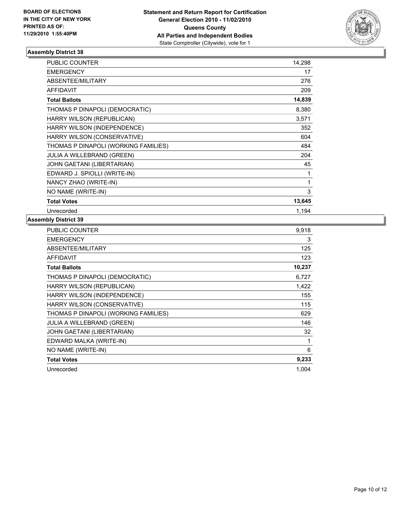

| <b>PUBLIC COUNTER</b>                | 14,298 |
|--------------------------------------|--------|
| <b>EMERGENCY</b>                     | 17     |
| ABSENTEE/MILITARY                    | 276    |
| <b>AFFIDAVIT</b>                     | 209    |
| <b>Total Ballots</b>                 | 14,839 |
| THOMAS P DINAPOLI (DEMOCRATIC)       | 8,380  |
| HARRY WILSON (REPUBLICAN)            | 3,571  |
| HARRY WILSON (INDEPENDENCE)          | 352    |
| HARRY WILSON (CONSERVATIVE)          | 604    |
| THOMAS P DINAPOLI (WORKING FAMILIES) | 484    |
| JULIA A WILLEBRAND (GREEN)           | 204    |
| JOHN GAETANI (LIBERTARIAN)           | 45     |
| EDWARD J. SPIOLLI (WRITE-IN)         | 1      |
| NANCY ZHAO (WRITE-IN)                | 1      |
| NO NAME (WRITE-IN)                   | 3      |
| <b>Total Votes</b>                   | 13,645 |
| Unrecorded                           | 1,194  |

| PUBLIC COUNTER                       | 9,918  |
|--------------------------------------|--------|
| <b>EMERGENCY</b>                     | 3      |
| ABSENTEE/MILITARY                    | 125    |
| <b>AFFIDAVIT</b>                     | 123    |
| <b>Total Ballots</b>                 | 10,237 |
| THOMAS P DINAPOLI (DEMOCRATIC)       | 6,727  |
| HARRY WILSON (REPUBLICAN)            | 1,422  |
| HARRY WILSON (INDEPENDENCE)          | 155    |
| HARRY WILSON (CONSERVATIVE)          | 115    |
| THOMAS P DINAPOLI (WORKING FAMILIES) | 629    |
| JULIA A WILLEBRAND (GREEN)           | 146    |
| JOHN GAETANI (LIBERTARIAN)           | 32     |
| EDWARD MALKA (WRITE-IN)              | 1      |
| NO NAME (WRITE-IN)                   | 6      |
| <b>Total Votes</b>                   | 9,233  |
| Unrecorded                           | 1,004  |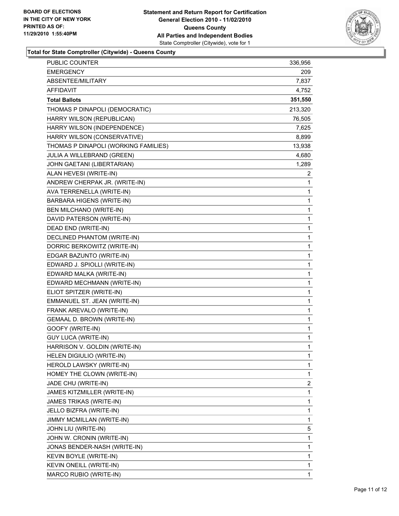

**Total for State Comptroller (Citywide) - Queens County**

| PUBLIC COUNTER                       | 336,956 |
|--------------------------------------|---------|
| <b>EMERGENCY</b>                     | 209     |
| ABSENTEE/MILITARY                    | 7,837   |
| AFFIDAVIT                            | 4,752   |
| <b>Total Ballots</b>                 | 351,550 |
| THOMAS P DINAPOLI (DEMOCRATIC)       | 213,320 |
| HARRY WILSON (REPUBLICAN)            | 76,505  |
| HARRY WILSON (INDEPENDENCE)          | 7,625   |
| HARRY WILSON (CONSERVATIVE)          | 8,899   |
| THOMAS P DINAPOLI (WORKING FAMILIES) | 13,938  |
| JULIA A WILLEBRAND (GREEN)           | 4,680   |
| JOHN GAETANI (LIBERTARIAN)           | 1,289   |
| ALAN HEVESI (WRITE-IN)               | 2       |
| ANDREW CHERPAK JR. (WRITE-IN)        | 1       |
| AVA TERRENELLA (WRITE-IN)            | 1       |
| <b>BARBARA HIGENS (WRITE-IN)</b>     | 1       |
| BEN MILCHANO (WRITE-IN)              | 1       |
| DAVID PATERSON (WRITE-IN)            | 1       |
| DEAD END (WRITE-IN)                  | 1       |
| DECLINED PHANTOM (WRITE-IN)          | 1       |
| DORRIC BERKOWITZ (WRITE-IN)          | 1       |
| EDGAR BAZUNTO (WRITE-IN)             | 1       |
| EDWARD J. SPIOLLI (WRITE-IN)         | 1       |
| EDWARD MALKA (WRITE-IN)              | 1       |
| EDWARD MECHMANN (WRITE-IN)           | 1       |
| ELIOT SPITZER (WRITE-IN)             | 1       |
| EMMANUEL ST. JEAN (WRITE-IN)         | 1       |
| FRANK AREVALO (WRITE-IN)             | 1       |
| GEMAAL D. BROWN (WRITE-IN)           | 1       |
| GOOFY (WRITE-IN)                     | 1       |
| <b>GUY LUCA (WRITE-IN)</b>           | 1       |
| HARRISON V. GOLDIN (WRITE-IN)        | 1       |
| HELEN DIGIULIO (WRITE-IN)            | 1       |
| HEROLD LAWSKY (WRITE-IN)             | 1       |
| HOMEY THE CLOWN (WRITE-IN)           | 1       |
| JADE CHU (WRITE-IN)                  | 2       |
| JAMES KITZMILLER (WRITE-IN)          | 1       |
| JAMES TRIKAS (WRITE-IN)              | 1       |
| JELLO BIZFRA (WRITE-IN)              | 1       |
| JIMMY MCMILLAN (WRITE-IN)            | 1       |
| JOHN LIU (WRITE-IN)                  | 5       |
| JOHN W. CRONIN (WRITE-IN)            | 1       |
| JONAS BENDER-NASH (WRITE-IN)         | 1       |
| KEVIN BOYLE (WRITE-IN)               | 1       |
| KEVIN ONEILL (WRITE-IN)              | 1       |
| MARCO RUBIO (WRITE-IN)               | 1       |